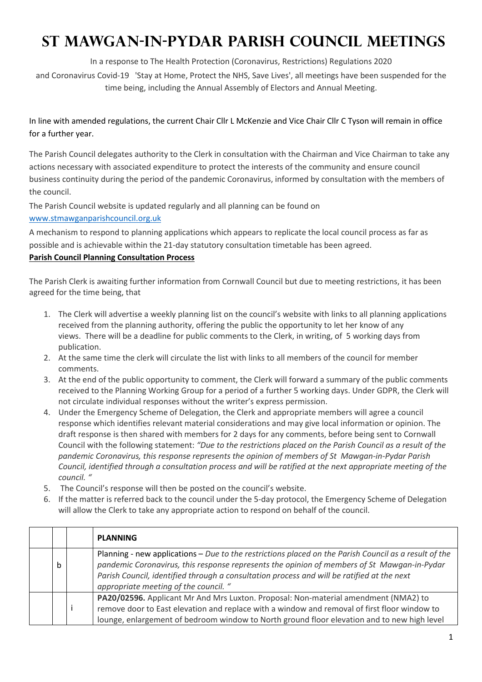## **St Mawgan-in-Pydar Parish Council MEETINGS**

In a response to The Health Protection (Coronavirus, Restrictions) Regulations 2020

and Coronavirus Covid-19 'Stay at Home, Protect the NHS, Save Lives', all meetings have been suspended for the time being, including the Annual Assembly of Electors and Annual Meeting.

In line with amended regulations, the current Chair Cllr L McKenzie and Vice Chair Cllr C Tyson will remain in office for a further year.

The Parish Council delegates authority to the Clerk in consultation with the Chairman and Vice Chairman to take any actions necessary with associated expenditure to protect the interests of the community and ensure council business continuity during the period of the pandemic Coronavirus, informed by consultation with the members of the council.

The Parish Council website is updated regularly and all planning can be found on www.stmawganparishcouncil.org.uk

A mechanism to respond to planning applications which appears to replicate the local council process as far as possible and is achievable within the 21-day statutory consultation timetable has been agreed.

## **Parish Council Planning Consultation Process**

The Parish Clerk is awaiting further information from Cornwall Council but due to meeting restrictions, it has been agreed for the time being, that

- 1. The Clerk will advertise a weekly planning list on the council's website with links to all planning applications received from the planning authority, offering the public the opportunity to let her know of any views. There will be a deadline for public comments to the Clerk, in writing, of 5 working days from publication.
- 2. At the same time the clerk will circulate the list with links to all members of the council for member comments.
- 3. At the end of the public opportunity to comment, the Clerk will forward a summary of the public comments received to the Planning Working Group for a period of a further 5 working days. Under GDPR, the Clerk will not circulate individual responses without the writer's express permission.
- 4. Under the Emergency Scheme of Delegation, the Clerk and appropriate members will agree a council response which identifies relevant material considerations and may give local information or opinion. The draft response is then shared with members for 2 days for any comments, before being sent to Cornwall Council with the following statement: *"Due to the restrictions placed on the Parish Council as a result of the pandemic Coronavirus, this response represents the opinion of members of St Mawgan-in-Pydar Parish Council, identified through a consultation process and will be ratified at the next appropriate meeting of the council. "*
- 5. The Council's response will then be posted on the council's website.
- 6. If the matter is referred back to the council under the 5-day protocol, the Emergency Scheme of Delegation will allow the Clerk to take any appropriate action to respond on behalf of the council.

|   | <b>PLANNING</b>                                                                                                                                                                                                                                                                                                                             |  |  |
|---|---------------------------------------------------------------------------------------------------------------------------------------------------------------------------------------------------------------------------------------------------------------------------------------------------------------------------------------------|--|--|
| b | Planning - new applications - Due to the restrictions placed on the Parish Council as a result of the<br>pandemic Coronavirus, this response represents the opinion of members of St Mawgan-in-Pydar<br>Parish Council, identified through a consultation process and will be ratified at the next<br>appropriate meeting of the council. " |  |  |
|   | PA20/02596. Applicant Mr And Mrs Luxton. Proposal: Non-material amendment (NMA2) to<br>remove door to East elevation and replace with a window and removal of first floor window to<br>lounge, enlargement of bedroom window to North ground floor elevation and to new high level                                                          |  |  |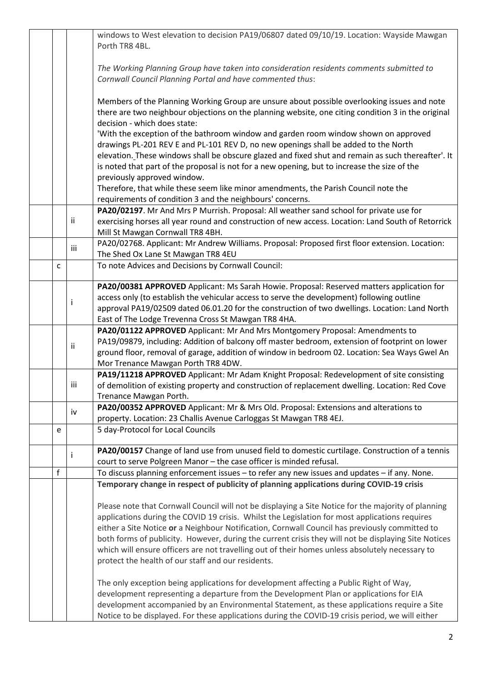|  |                                                                                          |     | windows to West elevation to decision PA19/06807 dated 09/10/19. Location: Wayside Mawgan            |  |  |  |  |
|--|------------------------------------------------------------------------------------------|-----|------------------------------------------------------------------------------------------------------|--|--|--|--|
|  |                                                                                          |     | Porth TR8 4BL.                                                                                       |  |  |  |  |
|  |                                                                                          |     |                                                                                                      |  |  |  |  |
|  | The Working Planning Group have taken into consideration residents comments submitted to |     |                                                                                                      |  |  |  |  |
|  |                                                                                          |     | Cornwall Council Planning Portal and have commented thus:                                            |  |  |  |  |
|  |                                                                                          |     |                                                                                                      |  |  |  |  |
|  |                                                                                          |     | Members of the Planning Working Group are unsure about possible overlooking issues and note          |  |  |  |  |
|  |                                                                                          |     | there are two neighbour objections on the planning website, one citing condition 3 in the original   |  |  |  |  |
|  |                                                                                          |     | decision - which does state:                                                                         |  |  |  |  |
|  |                                                                                          |     | 'With the exception of the bathroom window and garden room window shown on approved                  |  |  |  |  |
|  |                                                                                          |     | drawings PL-201 REV E and PL-101 REV D, no new openings shall be added to the North                  |  |  |  |  |
|  |                                                                                          |     | elevation. These windows shall be obscure glazed and fixed shut and remain as such thereafter'. It   |  |  |  |  |
|  |                                                                                          |     | is noted that part of the proposal is not for a new opening, but to increase the size of the         |  |  |  |  |
|  |                                                                                          |     | previously approved window.                                                                          |  |  |  |  |
|  |                                                                                          |     | Therefore, that while these seem like minor amendments, the Parish Council note the                  |  |  |  |  |
|  |                                                                                          |     | requirements of condition 3 and the neighbours' concerns.                                            |  |  |  |  |
|  |                                                                                          |     | PA20/02197. Mr And Mrs P Murrish. Proposal: All weather sand school for private use for              |  |  |  |  |
|  |                                                                                          | ii  | exercising horses all year round and construction of new access. Location: Land South of Retorrick   |  |  |  |  |
|  |                                                                                          |     | Mill St Mawgan Cornwall TR8 4BH.                                                                     |  |  |  |  |
|  |                                                                                          | iii | PA20/02768. Applicant: Mr Andrew Williams. Proposal: Proposed first floor extension. Location:       |  |  |  |  |
|  |                                                                                          |     | The Shed Ox Lane St Mawgan TR8 4EU                                                                   |  |  |  |  |
|  | C                                                                                        |     | To note Advices and Decisions by Cornwall Council:                                                   |  |  |  |  |
|  |                                                                                          |     | PA20/00381 APPROVED Applicant: Ms Sarah Howie. Proposal: Reserved matters application for            |  |  |  |  |
|  |                                                                                          |     | access only (to establish the vehicular access to serve the development) following outline           |  |  |  |  |
|  |                                                                                          | Ť   | approval PA19/02509 dated 06.01.20 for the construction of two dwellings. Location: Land North       |  |  |  |  |
|  |                                                                                          |     | East of The Lodge Trevenna Cross St Mawgan TR8 4HA.                                                  |  |  |  |  |
|  |                                                                                          |     | PA20/01122 APPROVED Applicant: Mr And Mrs Montgomery Proposal: Amendments to                         |  |  |  |  |
|  |                                                                                          |     | PA19/09879, including: Addition of balcony off master bedroom, extension of footprint on lower       |  |  |  |  |
|  |                                                                                          | ii  | ground floor, removal of garage, addition of window in bedroom 02. Location: Sea Ways Gwel An        |  |  |  |  |
|  |                                                                                          |     | Mor Trenance Mawgan Porth TR8 4DW.                                                                   |  |  |  |  |
|  |                                                                                          |     | PA19/11218 APPROVED Applicant: Mr Adam Knight Proposal: Redevelopment of site consisting             |  |  |  |  |
|  |                                                                                          | iii | of demolition of existing property and construction of replacement dwelling. Location: Red Cove      |  |  |  |  |
|  |                                                                                          |     | Trenance Mawgan Porth.                                                                               |  |  |  |  |
|  |                                                                                          | iv  | PA20/00352 APPROVED Applicant: Mr & Mrs Old. Proposal: Extensions and alterations to                 |  |  |  |  |
|  |                                                                                          |     | property. Location: 23 Challis Avenue Carloggas St Mawgan TR8 4EJ.                                   |  |  |  |  |
|  | e                                                                                        |     | 5 day-Protocol for Local Councils                                                                    |  |  |  |  |
|  |                                                                                          |     |                                                                                                      |  |  |  |  |
|  |                                                                                          | Ť   | PA20/00157 Change of land use from unused field to domestic curtilage. Construction of a tennis      |  |  |  |  |
|  |                                                                                          |     | court to serve Polgreen Manor - the case officer is minded refusal.                                  |  |  |  |  |
|  | f                                                                                        |     | To discuss planning enforcement issues - to refer any new issues and updates - if any. None.         |  |  |  |  |
|  |                                                                                          |     | Temporary change in respect of publicity of planning applications during COVID-19 crisis             |  |  |  |  |
|  |                                                                                          |     | Please note that Cornwall Council will not be displaying a Site Notice for the majority of planning  |  |  |  |  |
|  |                                                                                          |     | applications during the COVID 19 crisis. Whilst the Legislation for most applications requires       |  |  |  |  |
|  |                                                                                          |     | either a Site Notice or a Neighbour Notification, Cornwall Council has previously committed to       |  |  |  |  |
|  |                                                                                          |     | both forms of publicity. However, during the current crisis they will not be displaying Site Notices |  |  |  |  |
|  |                                                                                          |     | which will ensure officers are not travelling out of their homes unless absolutely necessary to      |  |  |  |  |
|  |                                                                                          |     | protect the health of our staff and our residents.                                                   |  |  |  |  |
|  |                                                                                          |     |                                                                                                      |  |  |  |  |
|  |                                                                                          |     | The only exception being applications for development affecting a Public Right of Way,               |  |  |  |  |
|  |                                                                                          |     | development representing a departure from the Development Plan or applications for EIA               |  |  |  |  |
|  |                                                                                          |     | development accompanied by an Environmental Statement, as these applications require a Site          |  |  |  |  |
|  |                                                                                          |     | Notice to be displayed. For these applications during the COVID-19 crisis period, we will either     |  |  |  |  |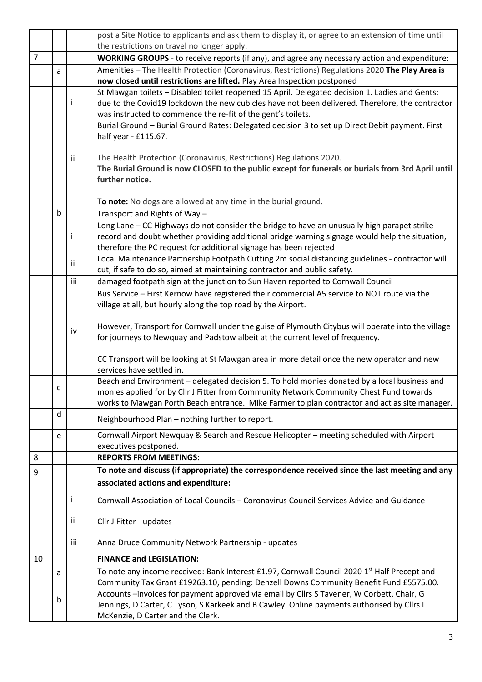|                |             |     | post a Site Notice to applicants and ask them to display it, or agree to an extension of time until                                                                                     |  |  |  |  |  |  |
|----------------|-------------|-----|-----------------------------------------------------------------------------------------------------------------------------------------------------------------------------------------|--|--|--|--|--|--|
| $\overline{7}$ |             |     | the restrictions on travel no longer apply.                                                                                                                                             |  |  |  |  |  |  |
|                |             |     | WORKING GROUPS - to receive reports (if any), and agree any necessary action and expenditure:                                                                                           |  |  |  |  |  |  |
|                | a           |     | Amenities - The Health Protection (Coronavirus, Restrictions) Regulations 2020 The Play Area is<br>now closed until restrictions are lifted. Play Area Inspection postponed             |  |  |  |  |  |  |
|                |             |     | St Mawgan toilets - Disabled toilet reopened 15 April. Delegated decision 1. Ladies and Gents:                                                                                          |  |  |  |  |  |  |
|                |             | Ť   | due to the Covid19 lockdown the new cubicles have not been delivered. Therefore, the contractor                                                                                         |  |  |  |  |  |  |
|                |             |     | was instructed to commence the re-fit of the gent's toilets.                                                                                                                            |  |  |  |  |  |  |
|                |             |     | Burial Ground - Burial Ground Rates: Delegated decision 3 to set up Direct Debit payment. First                                                                                         |  |  |  |  |  |  |
|                |             |     | half year - £115.67.                                                                                                                                                                    |  |  |  |  |  |  |
|                |             | Ϊİ  | The Health Protection (Coronavirus, Restrictions) Regulations 2020.                                                                                                                     |  |  |  |  |  |  |
|                |             |     | The Burial Ground is now CLOSED to the public except for funerals or burials from 3rd April until                                                                                       |  |  |  |  |  |  |
|                |             |     | further notice.                                                                                                                                                                         |  |  |  |  |  |  |
|                |             |     |                                                                                                                                                                                         |  |  |  |  |  |  |
|                |             |     | To note: No dogs are allowed at any time in the burial ground.                                                                                                                          |  |  |  |  |  |  |
|                | $\mathsf b$ |     | Transport and Rights of Way -                                                                                                                                                           |  |  |  |  |  |  |
|                |             |     | Long Lane - CC Highways do not consider the bridge to have an unusually high parapet strike                                                                                             |  |  |  |  |  |  |
|                |             | Ť   | record and doubt whether providing additional bridge warning signage would help the situation,                                                                                          |  |  |  |  |  |  |
|                |             |     | therefore the PC request for additional signage has been rejected                                                                                                                       |  |  |  |  |  |  |
|                |             | ii  | Local Maintenance Partnership Footpath Cutting 2m social distancing guidelines - contractor will                                                                                        |  |  |  |  |  |  |
|                |             | iii | cut, if safe to do so, aimed at maintaining contractor and public safety.<br>damaged footpath sign at the junction to Sun Haven reported to Cornwall Council                            |  |  |  |  |  |  |
|                |             |     |                                                                                                                                                                                         |  |  |  |  |  |  |
|                |             |     | Bus Service - First Kernow have registered their commercial A5 service to NOT route via the<br>village at all, but hourly along the top road by the Airport.                            |  |  |  |  |  |  |
|                |             |     |                                                                                                                                                                                         |  |  |  |  |  |  |
|                |             | iv  | However, Transport for Cornwall under the guise of Plymouth Citybus will operate into the village                                                                                       |  |  |  |  |  |  |
|                |             |     | for journeys to Newquay and Padstow albeit at the current level of frequency.                                                                                                           |  |  |  |  |  |  |
|                |             |     |                                                                                                                                                                                         |  |  |  |  |  |  |
|                |             |     | CC Transport will be looking at St Mawgan area in more detail once the new operator and new                                                                                             |  |  |  |  |  |  |
|                |             |     | services have settled in.                                                                                                                                                               |  |  |  |  |  |  |
|                | C           |     | Beach and Environment - delegated decision 5. To hold monies donated by a local business and<br>monies applied for by Cllr J Fitter from Community Network Community Chest Fund towards |  |  |  |  |  |  |
|                |             |     | works to Mawgan Porth Beach entrance. Mike Farmer to plan contractor and act as site manager.                                                                                           |  |  |  |  |  |  |
|                | d           |     | Neighbourhood Plan - nothing further to report.                                                                                                                                         |  |  |  |  |  |  |
|                |             |     |                                                                                                                                                                                         |  |  |  |  |  |  |
|                | e           |     | Cornwall Airport Newquay & Search and Rescue Helicopter - meeting scheduled with Airport<br>executives postponed.                                                                       |  |  |  |  |  |  |
| 8              |             |     | <b>REPORTS FROM MEETINGS:</b>                                                                                                                                                           |  |  |  |  |  |  |
| 9              |             |     | To note and discuss (if appropriate) the correspondence received since the last meeting and any                                                                                         |  |  |  |  |  |  |
|                |             |     | associated actions and expenditure:                                                                                                                                                     |  |  |  |  |  |  |
|                |             | Ť   | Cornwall Association of Local Councils - Coronavirus Council Services Advice and Guidance                                                                                               |  |  |  |  |  |  |
|                |             |     |                                                                                                                                                                                         |  |  |  |  |  |  |
|                |             | jj. | Cllr J Fitter - updates                                                                                                                                                                 |  |  |  |  |  |  |
|                |             | iii | Anna Druce Community Network Partnership - updates                                                                                                                                      |  |  |  |  |  |  |
| 10             |             |     | <b>FINANCE and LEGISLATION:</b>                                                                                                                                                         |  |  |  |  |  |  |
|                | a           |     | To note any income received: Bank Interest £1.97, Cornwall Council 2020 1st Half Precept and                                                                                            |  |  |  |  |  |  |
|                |             |     | Community Tax Grant £19263.10, pending: Denzell Downs Community Benefit Fund £5575.00.                                                                                                  |  |  |  |  |  |  |
|                | b           |     | Accounts -invoices for payment approved via email by Cllrs S Tavener, W Corbett, Chair, G                                                                                               |  |  |  |  |  |  |
|                |             |     | Jennings, D Carter, C Tyson, S Karkeek and B Cawley. Online payments authorised by Cllrs L                                                                                              |  |  |  |  |  |  |
|                |             |     | McKenzie, D Carter and the Clerk.                                                                                                                                                       |  |  |  |  |  |  |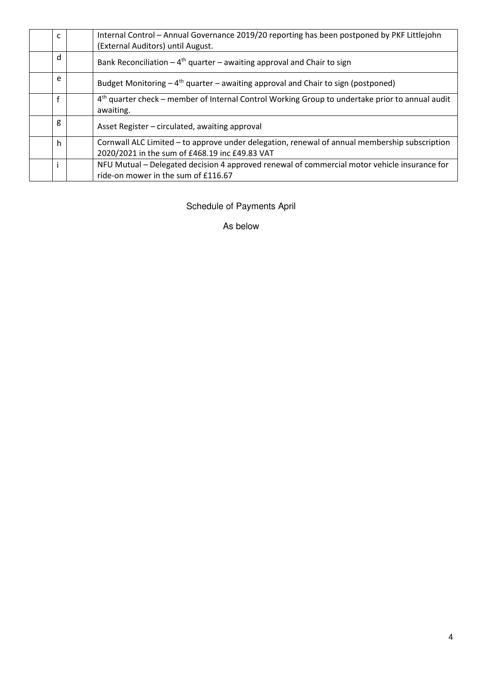| $\mathsf{C}$ | Internal Control - Annual Governance 2019/20 reporting has been postponed by PKF Littlejohn<br>(External Auditors) until August.                |  |  |  |  |
|--------------|-------------------------------------------------------------------------------------------------------------------------------------------------|--|--|--|--|
| d            | Bank Reconciliation $-4$ <sup>th</sup> quarter – awaiting approval and Chair to sign                                                            |  |  |  |  |
| e            | Budget Monitoring $-4$ <sup>th</sup> quarter – awaiting approval and Chair to sign (postponed)                                                  |  |  |  |  |
| f            | 4 <sup>th</sup> quarter check – member of Internal Control Working Group to undertake prior to annual audit<br>awaiting.                        |  |  |  |  |
| g            | Asset Register – circulated, awaiting approval                                                                                                  |  |  |  |  |
| h            | Cornwall ALC Limited - to approve under delegation, renewal of annual membership subscription<br>2020/2021 in the sum of £468.19 inc £49.83 VAT |  |  |  |  |
|              | NFU Mutual - Delegated decision 4 approved renewal of commercial motor vehicle insurance for<br>ride-on mower in the sum of £116.67             |  |  |  |  |

Schedule of Payments April

As below